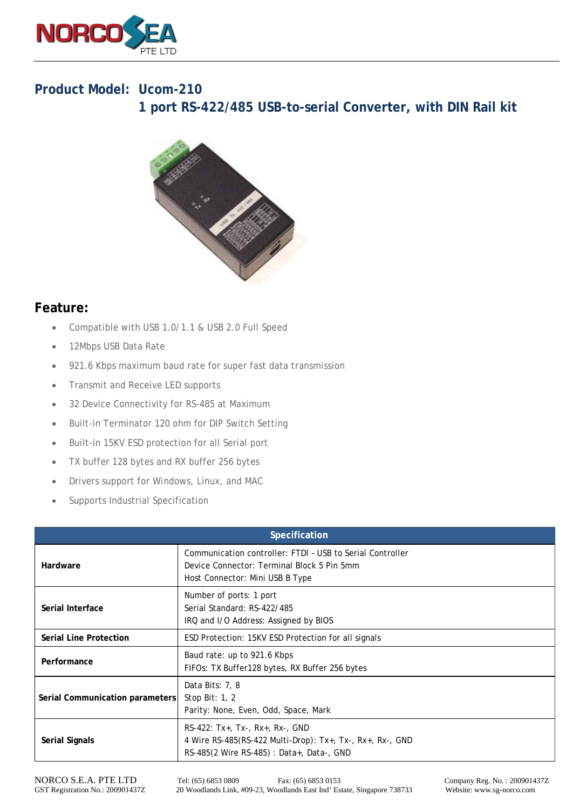

## **Product Model: Ucom-210 1 port RS-422/485 USB-to-serial Converter, with DIN Rail kit**



## **Feature:**

- Compatible with USB 1.0/1.1 & USB 2.0 Full Speed
- 12Mbps USB Data Rate
- 921.6 Kbps maximum baud rate for super fast data transmission
- Transmit and Receive LED supports
- 32 Device Connectivity for RS-485 at Maximum
- Built-in Terminator 120 ohm for DIP Switch Setting
- Built-in 15KV ESD protection for all Serial port
- TX buffer 128 bytes and RX buffer 256 bytes
- Drivers support for Windows, Linux, and MAC
- Supports Industrial Specification

| Specification                   |                                                                                                                                            |  |
|---------------------------------|--------------------------------------------------------------------------------------------------------------------------------------------|--|
| Hardware                        | Communication controller: FTDI - USB to Serial Controller<br>Device Connector: Terminal Block 5 Pin 5mm<br>Host Connector: Mini USB B Type |  |
| Serial Interface                | Number of ports: 1 port<br>Serial Standard: RS-422/485<br>IRQ and I/O Address: Assigned by BIOS                                            |  |
| <b>Serial Line Protection</b>   | ESD Protection: 15KV ESD Protection for all signals                                                                                        |  |
| Performance                     | Baud rate: up to 921.6 Kbps<br>FIFOs: TX Buffer128 bytes, RX Buffer 256 bytes                                                              |  |
| Serial Communication parameters | Data Bits: 7, 8<br>Stop Bit: $1, 2$<br>Parity: None, Even, Odd, Space, Mark                                                                |  |
| <b>Serial Signals</b>           | RS-422: Tx+, Tx-, Rx+, Rx-, GND<br>4 Wire RS-485(RS-422 Multi-Drop): Tx+, Tx-, Rx+, Rx-, GND<br>RS-485(2 Wire RS-485) : Data+, Data-, GND  |  |